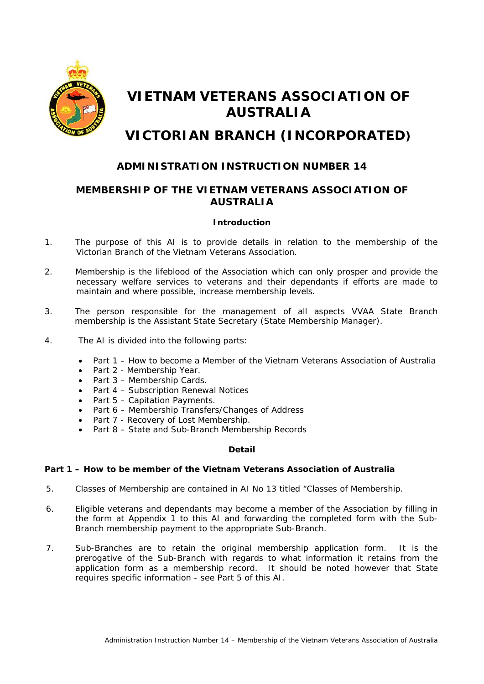

# **VIETNAM VETERANS ASSOCIATION OF AUSTRALIA**

## **VICTORIAN BRANCH (INCORPORATED)**

### **ADMINISTRATION INSTRUCTION NUMBER 14**

### **MEMBERSHIP OF THE VIETNAM VETERANS ASSOCIATION OF AUSTRALIA**

#### **Introduction**

- 1. The purpose of this AI is to provide details in relation to the membership of the Victorian Branch of the Vietnam Veterans Association.
- 2. Membership is the lifeblood of the Association which can only prosper and provide the necessary welfare services to veterans and their dependants if efforts are made to maintain and where possible, increase membership levels.
- 3. The person responsible for the management of all aspects VVAA State Branch membership is the Assistant State Secretary (State Membership Manager).
- 4. The AI is divided into the following parts:
	- Part 1 How to become a Member of the Vietnam Veterans Association of Australia
	- Part 2 Membership Year.
	- Part 3 Membership Cards.
	- Part 4 Subscription Renewal Notices
	- Part 5 Capitation Payments.
	- Part 6 Membership Transfers/Changes of Address
	- Part 7 Recovery of Lost Membership.
	- Part 8 State and Sub-Branch Membership Records

#### **Detail**

#### **Part 1 – How to be member of the Vietnam Veterans Association of Australia**

- 5. Classes of Membership are contained in AI No 13 titled "Classes of Membership.
- 6. Eligible veterans and dependants may become a member of the Association by filling in the form at Appendix 1 to this AI and forwarding the completed form with the Sub-Branch membership payment to the appropriate Sub-Branch.
- 7. Sub-Branches are to retain the original membership application form. It is the prerogative of the Sub-Branch with regards to what information it retains from the application form as a membership record. It should be noted however that State requires specific information - see Part 5 of this AI.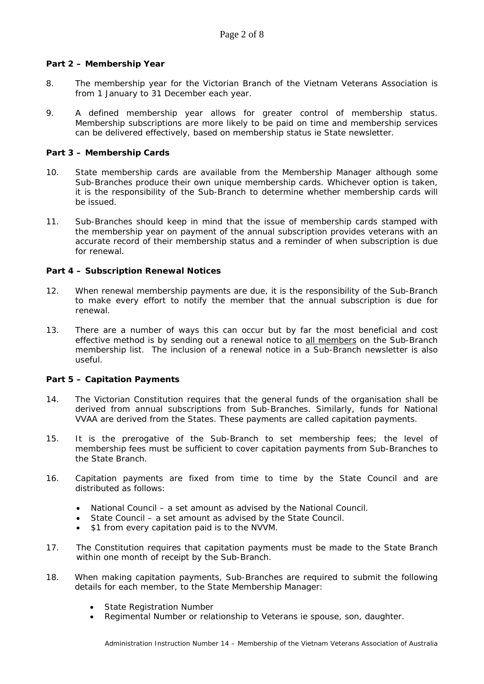#### **Part 2 – Membership Year**

- 8. The membership year for the Victorian Branch of the Vietnam Veterans Association is from 1 January to 31 December each year.
- 9. A defined membership year allows for greater control of membership status. Membership subscriptions are more likely to be paid on time and membership services can be delivered effectively, based on membership status ie State newsletter.

#### **Part 3 – Membership Cards**

- 10. State membership cards are available from the Membership Manager although some Sub-Branches produce their own unique membership cards. Whichever option is taken, it is the responsibility of the Sub-Branch to determine whether membership cards will be issued.
- 11. Sub-Branches should keep in mind that the issue of membership cards stamped with the membership year on payment of the annual subscription provides veterans with an accurate record of their membership status and a reminder of when subscription is due for renewal.

#### **Part 4 – Subscription Renewal Notices**

- 12. When renewal membership payments are due, it is the responsibility of the Sub-Branch to make every effort to notify the member that the annual subscription is due for renewal.
- 13. There are a number of ways this can occur but by far the most beneficial and cost effective method is by sending out a renewal notice to all members on the Sub-Branch membership list. The inclusion of a renewal notice in a Sub-Branch newsletter is also useful.

#### **Part 5 – Capitation Payments**

- 14. The Victorian Constitution requires that the general funds of the organisation shall be derived from annual subscriptions from Sub-Branches. Similarly, funds for National VVAA are derived from the States. These payments are called capitation payments.
- 15. It is the prerogative of the Sub-Branch to set membership fees; the level of membership fees must be sufficient to cover capitation payments from Sub-Branches to the State Branch.
- 16. Capitation payments are fixed from time to time by the State Council and are distributed as follows:
	- National Council a set amount as advised by the National Council.
	- State Council a set amount as advised by the State Council.
	- \$1 from every capitation paid is to the NVVM.
- 17. The Constitution requires that capitation payments must be made to the State Branch within one month of receipt by the Sub-Branch.
- 18. When making capitation payments, Sub-Branches are required to submit the following details for each member, to the State Membership Manager:
	- State Registration Number
	- Regimental Number or relationship to Veterans ie spouse, son, daughter.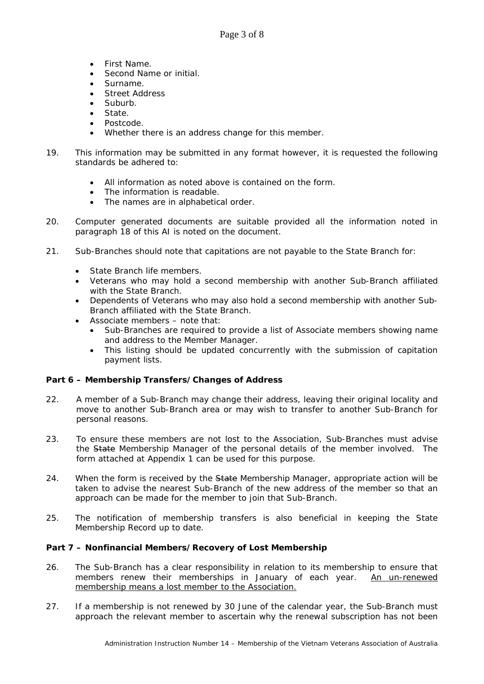- First Name.
- Second Name or initial.
- Surname.
- Street Address
- Suburb.
- State.
- Postcode.
- Whether there is an address change for this member.
- 19. This information may be submitted in any format however, it is requested the following standards be adhered to:
	- All information as noted above is contained on the form.
	- The information is readable.
	- The names are in alphabetical order.
- 20. Computer generated documents are suitable provided all the information noted in paragraph 18 of this AI is noted on the document.
- 21. Sub-Branches should note that capitations are not payable to the State Branch for:
	- State Branch life members.
	- Veterans who may hold a second membership with another Sub-Branch affiliated with the State Branch.
	- Dependents of Veterans who may also hold a second membership with another Sub-Branch affiliated with the State Branch.
	- Associate members note that:
		- Sub-Branches are required to provide a list of Associate members showing name and address to the Member Manager.
		- This listing should be updated concurrently with the submission of capitation payment lists.

#### **Part 6 – Membership Transfers/Changes of Address**

- 22. A member of a Sub-Branch may change their address, leaving their original locality and move to another Sub-Branch area or may wish to transfer to another Sub-Branch for personal reasons.
- 23. To ensure these members are not lost to the Association, Sub-Branches must advise the State Membership Manager of the personal details of the member involved. The form attached at Appendix 1 can be used for this purpose.
- 24. When the form is received by the State Membership Manager, appropriate action will be taken to advise the nearest Sub-Branch of the new address of the member so that an approach can be made for the member to join that Sub-Branch.
- 25. The notification of membership transfers is also beneficial in keeping the State Membership Record up to date.

#### **Part 7 – Nonfinancial Members/Recovery of Lost Membership**

- 26. The Sub-Branch has a clear responsibility in relation to its membership to ensure that members renew their memberships in January of each year. An un-renewed membership means a lost member to the Association.
- 27. If a membership is not renewed by 30 June of the calendar year, the Sub-Branch must approach the relevant member to ascertain why the renewal subscription has not been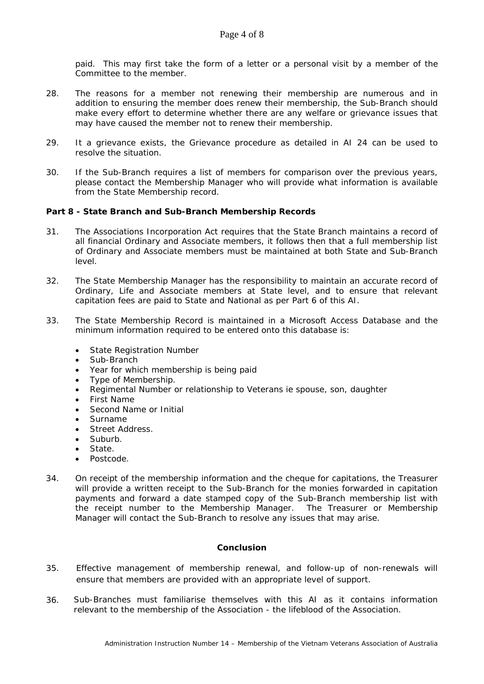paid. This may first take the form of a letter or a personal visit by a member of the Committee to the member.

- 28. The reasons for a member not renewing their membership are numerous and in addition to ensuring the member does renew their membership, the Sub-Branch should make every effort to determine whether there are any welfare or grievance issues that may have caused the member not to renew their membership.
- 29. It a grievance exists, the Grievance procedure as detailed in AI 24 can be used to resolve the situation.
- 30. If the Sub-Branch requires a list of members for comparison over the previous years, please contact the Membership Manager who will provide what information is available from the State Membership record.

#### **Part 8 - State Branch and Sub-Branch Membership Records**

- 31. The Associations Incorporation Act requires that the State Branch maintains a record of all financial Ordinary and Associate members, it follows then that a full membership list of Ordinary and Associate members must be maintained at both State and Sub-Branch level.
- 32. The State Membership Manager has the responsibility to maintain an accurate record of Ordinary, Life and Associate members at State level, and to ensure that relevant capitation fees are paid to State and National as per Part 6 of this AI.
- 33. The State Membership Record is maintained in a Microsoft Access Database and the minimum information required to be entered onto this database is:
	- State Registration Number
	- Sub-Branch
	- Year for which membership is being paid
	- Type of Membership.
	- Regimental Number or relationship to Veterans ie spouse, son, daughter
	- First Name
	- Second Name or Initial
	- Surname
	- Street Address.
	- Suburb.
	- State.
	- Postcode.
- 34. On receipt of the membership information and the cheque for capitations, the Treasurer will provide a written receipt to the Sub-Branch for the monies forwarded in capitation payments and forward a date stamped copy of the Sub-Branch membership list with the receipt number to the Membership Manager. The Treasurer or Membership Manager will contact the Sub-Branch to resolve any issues that may arise.

#### **Conclusion**

- 35. Effective management of membership renewal, and follow-up of non-renewals will ensure that members are provided with an appropriate level of support.
- 36. Sub-Branches must familiarise themselves with this AI as it contains information relevant to the membership of the Association - the lifeblood of the Association.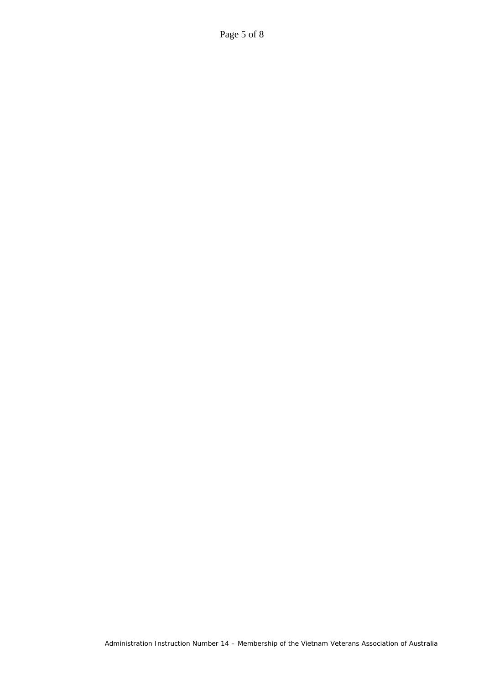Page 5 of 8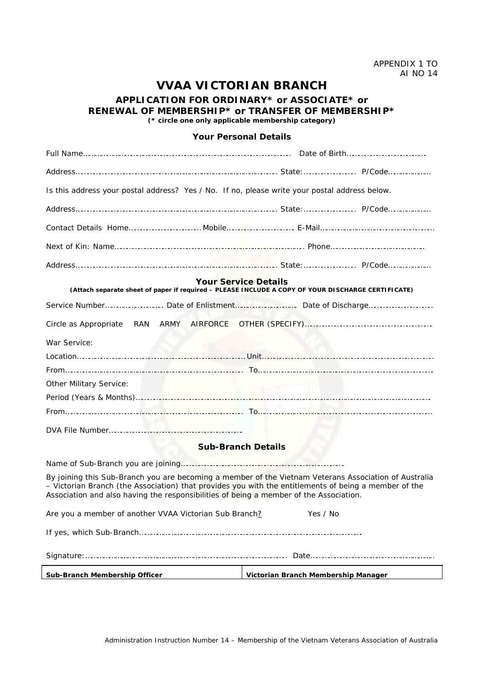APPENDIX 1 TO AI NO 14

## **VVAA VICTORIAN BRANCH**

#### **APPLICATION FOR** *ORDINARY***\* or** *ASSOCIATE\** **or**  *RENEWAL OF MEMBERSHIP\** **or** *TRANSFER OF MEMBERSHIP***\* (\* circle one only applicable membership category)**

#### **Your Personal Details**

| Is this address your postal address? Yes / No. If no, please write your postal address below.                                                                                                                                                                                                            |                                                                                                                                   |  |  |
|----------------------------------------------------------------------------------------------------------------------------------------------------------------------------------------------------------------------------------------------------------------------------------------------------------|-----------------------------------------------------------------------------------------------------------------------------------|--|--|
|                                                                                                                                                                                                                                                                                                          |                                                                                                                                   |  |  |
|                                                                                                                                                                                                                                                                                                          |                                                                                                                                   |  |  |
|                                                                                                                                                                                                                                                                                                          |                                                                                                                                   |  |  |
|                                                                                                                                                                                                                                                                                                          |                                                                                                                                   |  |  |
|                                                                                                                                                                                                                                                                                                          | <b>Your Service Details</b><br>(Attach separate sheet of paper if required - PLEASE INCLUDE A COPY OF YOUR DISCHARGE CERTIFICATE) |  |  |
|                                                                                                                                                                                                                                                                                                          |                                                                                                                                   |  |  |
|                                                                                                                                                                                                                                                                                                          |                                                                                                                                   |  |  |
| War Service:                                                                                                                                                                                                                                                                                             |                                                                                                                                   |  |  |
|                                                                                                                                                                                                                                                                                                          |                                                                                                                                   |  |  |
|                                                                                                                                                                                                                                                                                                          |                                                                                                                                   |  |  |
| Other Military Service:                                                                                                                                                                                                                                                                                  |                                                                                                                                   |  |  |
|                                                                                                                                                                                                                                                                                                          |                                                                                                                                   |  |  |
|                                                                                                                                                                                                                                                                                                          |                                                                                                                                   |  |  |
|                                                                                                                                                                                                                                                                                                          |                                                                                                                                   |  |  |
|                                                                                                                                                                                                                                                                                                          | <b>Sub-Branch Details</b>                                                                                                         |  |  |
|                                                                                                                                                                                                                                                                                                          |                                                                                                                                   |  |  |
| By joining this Sub-Branch you are becoming a member of the Vietnam Veterans Association of Australia<br>- Victorian Branch (the Association) that provides you with the entitlements of being a member of the<br>Association and also having the responsibilities of being a member of the Association. |                                                                                                                                   |  |  |
| Are you a member of another VVAA Victorian Sub Branch?                                                                                                                                                                                                                                                   | Yes / No                                                                                                                          |  |  |
|                                                                                                                                                                                                                                                                                                          |                                                                                                                                   |  |  |
|                                                                                                                                                                                                                                                                                                          |                                                                                                                                   |  |  |
| Sub-Branch Membership Officer                                                                                                                                                                                                                                                                            | Victorian Branch Membership Manager                                                                                               |  |  |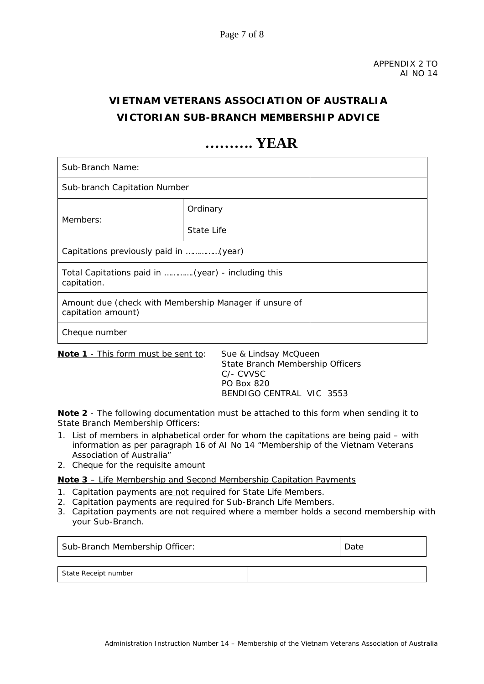## **VIETNAM VETERANS ASSOCIATION OF AUSTRALIA VICTORIAN SUB-BRANCH MEMBERSHIP ADVICE**

# **………. YEAR**

| Sub-Branch Name:                                                             |            |  |
|------------------------------------------------------------------------------|------------|--|
| Sub-branch Capitation Number                                                 |            |  |
| Members:                                                                     | Ordinary   |  |
|                                                                              | State Life |  |
| Capitations previously paid in (year)                                        |            |  |
| Total Capitations paid in  (year) - including this<br>capitation.            |            |  |
| Amount due (check with Membership Manager if unsure of<br>capitation amount) |            |  |
| Cheque number                                                                |            |  |

*Note 1 - This form must be sent to*: Sue & Lindsay McQueen State Branch Membership Officers C/- CVVSC PO Box 820 BENDIGO CENTRAL VIC 3553

*Note 2 - The following documentation must be attached to this form when sending it to State Branch Membership Officers:*

- 1. List of members in alphabetical order for whom the capitations are being paid *with information as per paragraph 16 of AI No 14 "Membership of the Vietnam Veterans Association of Australia*"
- 2. Cheque for the requisite amount

#### *Note 3 – Life Membership and Second Membership Capitation Payments*

- 1. Capitation payments are not required for State Life Members.
- 2. Capitation payments are required for Sub-Branch Life Members.
- 3. Capitation payments are not required where a member holds a second membership with your Sub-Branch.

| Sub-Branch Membership Officer: | Date |  |
|--------------------------------|------|--|
|                                |      |  |
| State Receipt number           |      |  |